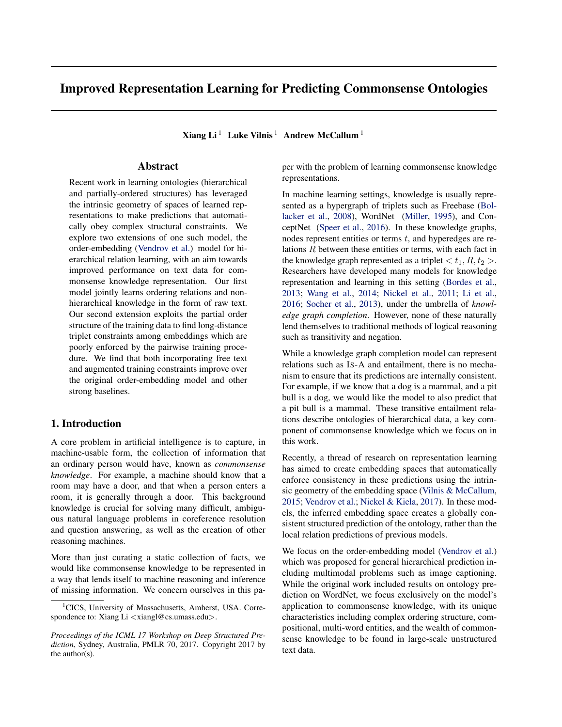# Improved Representation Learning for Predicting Commonsense Ontologies

Xiang Li<sup>1</sup> Luke Vilnis<sup>1</sup> Andrew McCallum<sup>1</sup>

# Abstract

Recent work in learning ontologies (hierarchical and partially-ordered structures) has leveraged the intrinsic geometry of spaces of learned representations to make predictions that automatically obey complex structural constraints. We explore two extensions of one such model, the order-embedding [\(Vendrov et al.\)](#page-3-0) model for hierarchical relation learning, with an aim towards improved performance on text data for commonsense knowledge representation. Our first model jointly learns ordering relations and nonhierarchical knowledge in the form of raw text. Our second extension exploits the partial order structure of the training data to find long-distance triplet constraints among embeddings which are poorly enforced by the pairwise training procedure. We find that both incorporating free text and augmented training constraints improve over the original order-embedding model and other strong baselines.

# 1. Introduction

A core problem in artificial intelligence is to capture, in machine-usable form, the collection of information that an ordinary person would have, known as *commonsense knowledge*. For example, a machine should know that a room may have a door, and that when a person enters a room, it is generally through a door. This background knowledge is crucial for solving many difficult, ambiguous natural language problems in coreference resolution and question answering, as well as the creation of other reasoning machines.

More than just curating a static collection of facts, we would like commonsense knowledge to be represented in a way that lends itself to machine reasoning and inference of missing information. We concern ourselves in this paper with the problem of learning commonsense knowledge representations.

In machine learning settings, knowledge is usually represented as a hypergraph of triplets such as Freebase [\(Bol](#page-3-0)[lacker et al.,](#page-3-0) [2008\)](#page-3-0), WordNet [\(Miller,](#page-3-0) [1995\)](#page-3-0), and ConceptNet [\(Speer et al.,](#page-3-0) [2016\)](#page-3-0). In these knowledge graphs, nodes represent entities or terms  $t$ , and hyperedges are relations R between these entities or terms, with each fact in the knowledge graph represented as a triplet  $\langle t_1, R, t_2 \rangle$ . Researchers have developed many models for knowledge representation and learning in this setting [\(Bordes et al.,](#page-3-0) [2013;](#page-3-0) [Wang et al.,](#page-3-0) [2014;](#page-3-0) [Nickel et al.,](#page-3-0) [2011;](#page-3-0) [Li et al.,](#page-3-0) [2016;](#page-3-0) [Socher et al.,](#page-3-0) [2013\)](#page-3-0), under the umbrella of *knowledge graph completion*. However, none of these naturally lend themselves to traditional methods of logical reasoning such as transitivity and negation.

While a knowledge graph completion model can represent relations such as IS-A and entailment, there is no mechanism to ensure that its predictions are internally consistent. For example, if we know that a dog is a mammal, and a pit bull is a dog, we would like the model to also predict that a pit bull is a mammal. These transitive entailment relations describe ontologies of hierarchical data, a key component of commonsense knowledge which we focus on in this work.

Recently, a thread of research on representation learning has aimed to create embedding spaces that automatically enforce consistency in these predictions using the intrinsic geometry of the embedding space [\(Vilnis & McCallum,](#page-3-0) [2015;](#page-3-0) [Vendrov et al.;](#page-3-0) [Nickel & Kiela,](#page-3-0) [2017\)](#page-3-0). In these models, the inferred embedding space creates a globally consistent structured prediction of the ontology, rather than the local relation predictions of previous models.

We focus on the order-embedding model [\(Vendrov et al.\)](#page-3-0) which was proposed for general hierarchical prediction including multimodal problems such as image captioning. While the original work included results on ontology prediction on WordNet, we focus exclusively on the model's application to commonsense knowledge, with its unique characteristics including complex ordering structure, compositional, multi-word entities, and the wealth of commonsense knowledge to be found in large-scale unstructured text data.

<sup>&</sup>lt;sup>1</sup>CICS, University of Massachusetts, Amherst, USA. Correspondence to: Xiang Li <xiangl@cs.umass.edu>.

*Proceedings of the ICML 17 Workshop on Deep Structured Prediction*, Sydney, Australia, PMLR 70, 2017. Copyright 2017 by the author(s).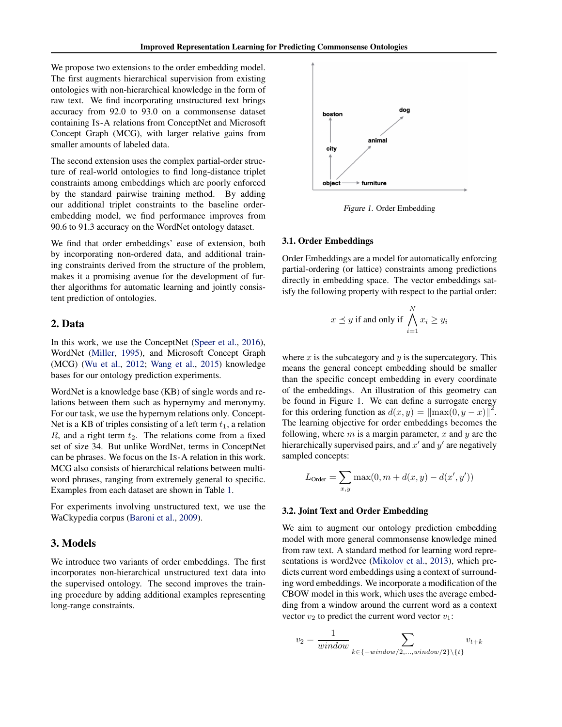We propose two extensions to the order embedding model. The first augments hierarchical supervision from existing ontologies with non-hierarchical knowledge in the form of raw text. We find incorporating unstructured text brings accuracy from 92.0 to 93.0 on a commonsense dataset containing IS-A relations from ConceptNet and Microsoft Concept Graph (MCG), with larger relative gains from smaller amounts of labeled data.

The second extension uses the complex partial-order structure of real-world ontologies to find long-distance triplet constraints among embeddings which are poorly enforced by the standard pairwise training method. By adding our additional triplet constraints to the baseline orderembedding model, we find performance improves from 90.6 to 91.3 accuracy on the WordNet ontology dataset.

We find that order embeddings' ease of extension, both by incorporating non-ordered data, and additional training constraints derived from the structure of the problem, makes it a promising avenue for the development of further algorithms for automatic learning and jointly consistent prediction of ontologies.

#### 2. Data

In this work, we use the ConceptNet [\(Speer et al.,](#page-3-0) [2016\)](#page-3-0), WordNet [\(Miller,](#page-3-0) [1995\)](#page-3-0), and Microsoft Concept Graph (MCG) [\(Wu et al.,](#page-3-0) [2012;](#page-3-0) [Wang et al.,](#page-3-0) [2015\)](#page-3-0) knowledge bases for our ontology prediction experiments.

WordNet is a knowledge base (KB) of single words and relations between them such as hypernymy and meronymy. For our task, we use the hypernym relations only. Concept-Net is a KB of triples consisting of a left term  $t_1$ , a relation R, and a right term  $t_2$ . The relations come from a fixed set of size 34. But unlike WordNet, terms in ConceptNet can be phrases. We focus on the IS-A relation in this work. MCG also consists of hierarchical relations between multiword phrases, ranging from extremely general to specific. Examples from each dataset are shown in Table [1.](#page-2-0)

For experiments involving unstructured text, we use the WaCkypedia corpus [\(Baroni et al.,](#page-3-0) [2009\)](#page-3-0).

#### 3. Models

We introduce two variants of order embeddings. The first incorporates non-hierarchical unstructured text data into the supervised ontology. The second improves the training procedure by adding additional examples representing long-range constraints.



Figure 1. Order Embedding

#### 3.1. Order Embeddings

Order Embeddings are a model for automatically enforcing partial-ordering (or lattice) constraints among predictions directly in embedding space. The vector embeddings satisfy the following property with respect to the partial order:

$$
x \preceq y \text{ if and only if } \bigwedge_{i=1}^{N} x_i \ge y_i
$$

where  $x$  is the subcategory and  $y$  is the supercategory. This means the general concept embedding should be smaller than the specific concept embedding in every coordinate of the embeddings. An illustration of this geometry can be found in Figure 1. We can define a surrogate energy for this ordering function as  $d(x, y) = ||\max(0, y - x)||^2$ . The learning objective for order embeddings becomes the following, where  $m$  is a margin parameter,  $x$  and  $y$  are the hierarchically supervised pairs, and  $x'$  and  $y'$  are negatively sampled concepts:

$$
L_{\text{Order}} = \sum_{x,y} \max(0, m + d(x,y) - d(x',y'))
$$

#### 3.2. Joint Text and Order Embedding

We aim to augment our ontology prediction embedding model with more general commonsense knowledge mined from raw text. A standard method for learning word representations is word2vec [\(Mikolov et al.,](#page-3-0) [2013\)](#page-3-0), which predicts current word embeddings using a context of surrounding word embeddings. We incorporate a modification of the CBOW model in this work, which uses the average embedding from a window around the current word as a context vector  $v_2$  to predict the current word vector  $v_1$ :

$$
v_2 = \frac{1}{window} \sum_{k \in \{-window/2, \dots, window/2\} \setminus \{t\}} v_{t+k}
$$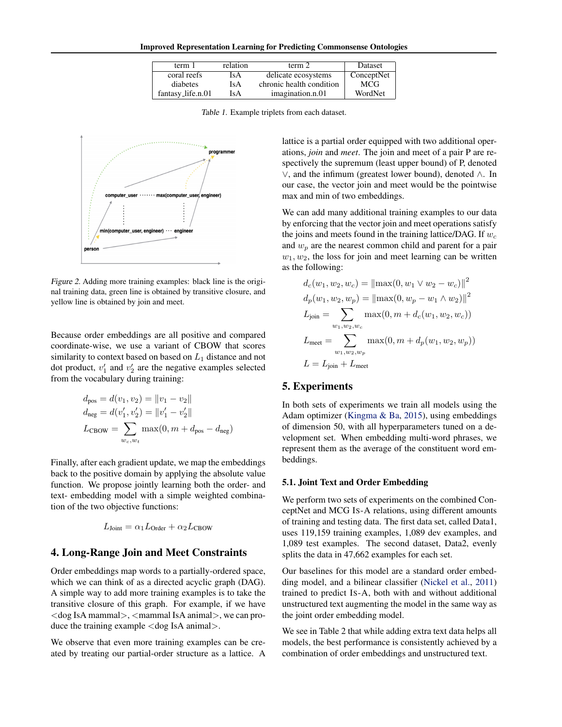<span id="page-2-0"></span>Improved Representation Learning for Predicting Commonsense Ontologies

| term 1            | relation | term 2                   | Dataset    |
|-------------------|----------|--------------------------|------------|
| coral reefs       | IsA      | delicate ecosystems      | ConceptNet |
| diabetes          | IsA      | chronic health condition | <b>MCG</b> |
| fantasy_life.n.01 | IsA      | imagination.n.01         | WordNet    |

Table 1. Example triplets from each dataset.



Figure 2. Adding more training examples: black line is the original training data, green line is obtained by transitive closure, and yellow line is obtained by join and meet.

Because order embeddings are all positive and compared coordinate-wise, we use a variant of CBOW that scores similarity to context based on based on  $L_1$  distance and not dot product,  $v'_1$  and  $v'_2$  are the negative examples selected from the vocabulary during training:

$$
d_{\text{pos}} = d(v_1, v_2) = ||v_1 - v_2||
$$
  
\n
$$
d_{\text{neg}} = d(v'_1, v'_2) = ||v'_1 - v'_2||
$$
  
\n
$$
L_{\text{CBOW}} = \sum_{w_c, w_t} \max(0, m + d_{\text{pos}} - d_{\text{neg}})
$$

Finally, after each gradient update, we map the embeddings back to the positive domain by applying the absolute value function. We propose jointly learning both the order- and text- embedding model with a simple weighted combination of the two objective functions:

$$
L_{\text{Joint}} = \alpha_1 L_{\text{Order}} + \alpha_2 L_{\text{CBOW}}
$$

# 4. Long-Range Join and Meet Constraints

Order embeddings map words to a partially-ordered space, which we can think of as a directed acyclic graph (DAG). A simple way to add more training examples is to take the transitive closure of this graph. For example, if we have  $\langle$  dog IsA mammal $>$ ,  $\langle$ mammal IsA animal $>$ , we can produce the training example <dog IsA animal>.

We observe that even more training examples can be created by treating our partial-order structure as a lattice. A lattice is a partial order equipped with two additional operations, *join* and *meet*. The join and meet of a pair P are respectively the supremum (least upper bound) of P, denoted ∨, and the infimum (greatest lower bound), denoted ∧. In our case, the vector join and meet would be the pointwise max and min of two embeddings.

We can add many additional training examples to our data by enforcing that the vector join and meet operations satisfy the joins and meets found in the training lattice/DAG. If  $w_c$ and  $w_p$  are the nearest common child and parent for a pair  $w_1, w_2$ , the loss for join and meet learning can be written as the following:

$$
d_c(w_1, w_2, w_c) = ||\max(0, w_1 \vee w_2 - w_c)||^2
$$
  
\n
$$
d_p(w_1, w_2, w_p) = ||\max(0, w_p - w_1 \wedge w_2)||^2
$$
  
\n
$$
L_{\text{join}} = \sum_{w_1, w_2, w_c} \max(0, m + d_c(w_1, w_2, w_c))
$$
  
\n
$$
L_{\text{meet}} = \sum_{w_1, w_2, w_p} \max(0, m + d_p(w_1, w_2, w_p))
$$
  
\n
$$
L = L_{\text{join}} + L_{\text{meet}}
$$

# 5. Experiments

In both sets of experiments we train all models using the Adam optimizer [\(Kingma & Ba,](#page-3-0) [2015\)](#page-3-0), using embeddings of dimension 50, with all hyperparameters tuned on a development set. When embedding multi-word phrases, we represent them as the average of the constituent word embeddings.

### 5.1. Joint Text and Order Embedding

We perform two sets of experiments on the combined ConceptNet and MCG IS-A relations, using different amounts of training and testing data. The first data set, called Data1, uses 119,159 training examples, 1,089 dev examples, and 1,089 test examples. The second dataset, Data2, evenly splits the data in 47,662 examples for each set.

Our baselines for this model are a standard order embedding model, and a bilinear classifier [\(Nickel et al.,](#page-3-0) [2011\)](#page-3-0) trained to predict IS-A, both with and without additional unstructured text augmenting the model in the same way as the joint order embedding model.

We see in Table 2 that while adding extra text data helps all models, the best performance is consistently achieved by a combination of order embeddings and unstructured text.